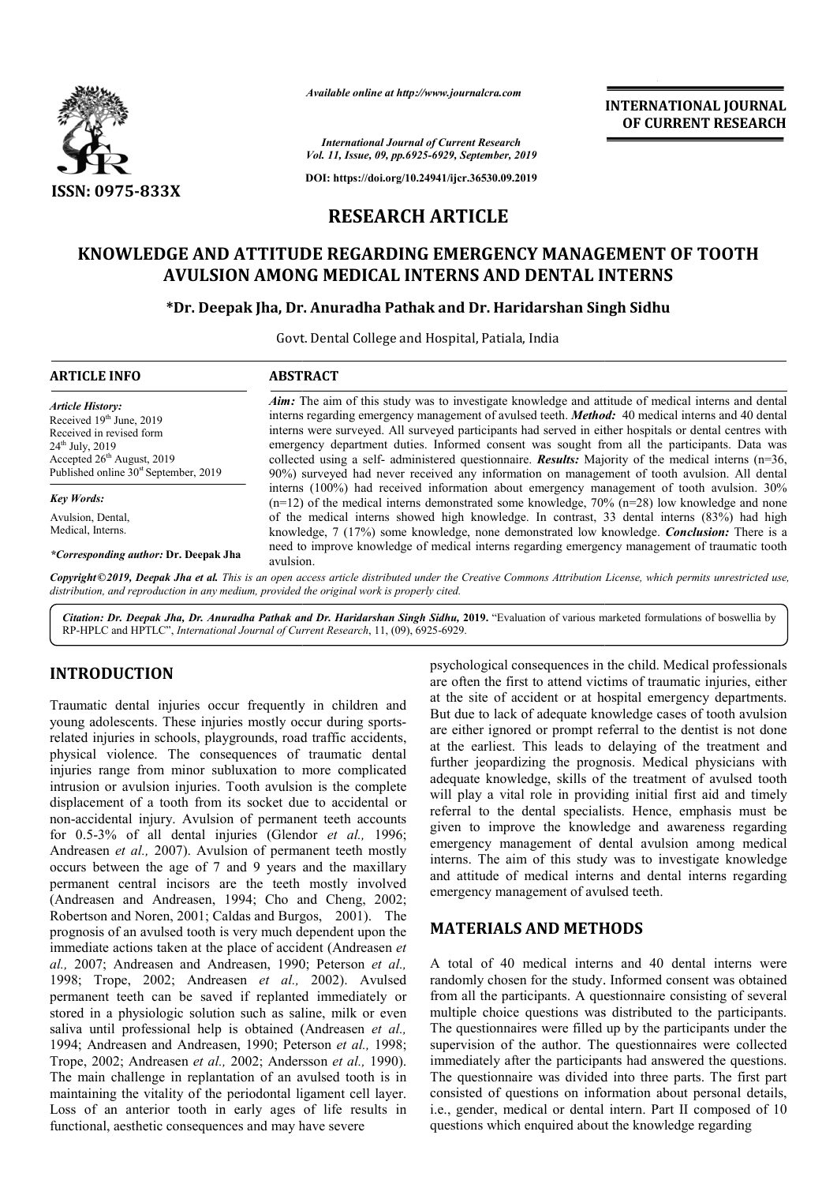

*Available online at http://www.journalcra.com*

*International Journal of Current Research Vol. 11, Issue, 09, pp.6925-6929, September, 2019*

**DOI: https://doi.org/10.24941/ijcr.36530.09.2019**

# **RESEARCH ARTICLE**

# **KNOWLEDGE AND ATTITUDE REGARDING EMERGENCY MANAGEMENT OF TOOTH IGE AND ATTITUDE REGARDING EMERGENCY MANAGEMENT (<br>AVULSION AMONG MEDICAL INTERNS AND DENTAL INTERNS**

### **\*Dr. Deepak Jha, Dr. Anuradha Pathak and Dr. Haridarshan Singh Sidhu**

Govt. Dental College and Hospital, Patiala, India

| <b>Aim:</b> The aim of this study was to investigate knowledge and attitude of medical interns and dental<br><b>Article History:</b><br>interns regarding emergency management of avulsed teeth. <i>Method</i> : 40 medical interns and 40 dental<br>Received 19th June, 2019<br>interns were surveyed. All surveyed participants had served in either hospitals or dental centres with<br>Received in revised form<br>emergency department duties. Informed consent was sought from all the participants. Data was<br>$24^{th}$ July, $2019$<br>Accepted $26th$ August, 2019<br>collected using a self- administered questionnaire. <b>Results:</b> Majority of the medical interns $(n=36)$ , |  |
|-------------------------------------------------------------------------------------------------------------------------------------------------------------------------------------------------------------------------------------------------------------------------------------------------------------------------------------------------------------------------------------------------------------------------------------------------------------------------------------------------------------------------------------------------------------------------------------------------------------------------------------------------------------------------------------------------|--|
| Published online 30 <sup>st</sup> September, 2019<br>90%) surveyed had never received any information on management of tooth avulsion. All dental                                                                                                                                                                                                                                                                                                                                                                                                                                                                                                                                               |  |
| interns $(100\%)$ had received information about emergency management of tooth avulsion. 30%<br><b>Key Words:</b><br>$(n=12)$ of the medical interns demonstrated some knowledge, 70% $(n=28)$ low knowledge and none                                                                                                                                                                                                                                                                                                                                                                                                                                                                           |  |
| of the medical interns showed high knowledge. In contrast, 33 dental interns (83%) had high<br>Avulsion, Dental,<br>Medical, Interns.<br>knowledge, 7 (17%) some knowledge, none demonstrated low knowledge. <b>Conclusion:</b> There is a<br>need to improve knowledge of medical interns regarding emergency management of traumatic tooth<br>*Corresponding author: Dr. Deepak Jha<br>avulsion.                                                                                                                                                                                                                                                                                              |  |

Copyright©2019, Deepak Jha et al. This is an open access article distributed under the Creative Commons Attribution License, which permits unrestricted use, *distribution, and reproduction in any medium, provided the original work is properly cited.*

Citation: Dr. Deepak Jha, Dr. Anuradha Pathak and Dr. Haridarshan Singh Sidhu, 2019. "Evaluation of various marketed formulations of boswellia by RP-HPLC and HPTLC", *International Journal of Current Research* , 11, (09), 6925-6929.

## **INTRODUCTION**

Traumatic dental injuries occur frequently in children and young adolescents. These injuries mostly occur during sportsrelated injuries in schools, playgrounds, road traffic accidents, physical violence. The consequences of traumatic dental injuries range from minor subluxation to more complicated intrusion or avulsion injuries. Tooth avulsion is the complete displacement of a tooth from its socket due to accidental or non-accidental injury. Avulsion of permanent teeth accounts for 0.5-3% of all dental injuries (Glendor et al., 1996; Andreasen *et al.,* 2007). Avulsion of permanent teeth mostly occurs between the age of 7 and 9 years and the maxillary permanent central incisors are the teeth mostly involved (Andreasen and Andreasen, 1994; Cho and Cheng, 2002; Robertson and Noren, 2001; Caldas and Burgos, 2001). The prognosis of an avulsed tooth is very much dependent upon the immediate actions taken at the place of accident (Andreasen *et*  al., 2007; Andreasen and Andreasen, 1990; Peterson et al., 1998; Trope, 2002; Andreasen *et al.,*  2002). Avulsed permanent teeth can be saved if replanted immediately or stored in a physiologic solution such as saline, milk or even saliva until professional help is obtained (Andreasen et al., 1994; Andreasen and Andreasen, 1990; Peterson *et al.,* 1998; Trope, 2002; Andreasen *et al.,* 2002; Andersson *et al.,* 1990). The main challenge in replantation of an avulsed tooth is in maintaining the vitality of the periodontal ligament cell layer. Loss of an anterior tooth in early ages of life results in functional, aesthetic consequences and may have severe trusion or avulsion injuries. Tooth avulsion is the complete splacement of a tooth from its socket due to accidental or pn-accidental injury. Avulsion of permanent teeth accounts r 0.5-3% of all dental injuries (Glendor *e* nt teeth can be saved if replanted immediately or<br>i a physiologic solution such as saline, milk or even<br>till professional help is obtained (Andreasen *et al.*,

psychological consequences in the child. Medical professionals<br>psychological consequences in the site of accident or at hoppital emergency departments,<br>responding to the dual the site of accident or at hoppital emergency are often the first to attend victims of traumatic injuries, either at the site of accident or at hospital emergency departments. are often the first to attend victims of traumatic injuries, either at the site of accident or at hospital emergency departments.<br>But due to lack of adequate knowledge cases of tooth avulsion are either ignored or prompt referral to the dentist is not done at the earliest. This leads to delaying of the treatment and further jeopardizing the prognosis. Medical physicians with are either ignored or prompt referral to the dentist is not done<br>at the earliest. This leads to delaying of the treatment and<br>further jeopardizing the prognosis. Medical physicians with<br>adequate knowledge, skills of the tr will play a vital role in providing initial first aid and timely referral to the dental specialists. Hence, emphasis must be given to improve the knowledge and awareness regarding emergency management of dental avulsion am referral to the dental specialists. Hence, emphasis must be given to improve the knowledge and awareness regarding emergency management of dental avulsion among medical interns. The aim of this study was to investigate knowledge and attitude of medical interns and dental interns regarding emergency management of avulsed teeth. **EXERVATIONAL JOURNAL CONSISTENT (CONSISTENT ASSEEMBLY CONSISTENT AND ASSEEMBLY CONSISTENT AND ARTICLE EMERGENCY MANAGEMBINT OF TOOTH (FERNS ASP) 44) (** $\mu$  **and Dr. Haridars has been all disturbes and the investigate knowl** 

## **MATERIALS AND METHODS METHODS**

A total of 40 medical interns and 40 dental interns were randomly chosen for the study. Informed consent was obtained from all the participants. A questionnaire consisting of several multiple choice questions was distributed to the participants. The questionnaires were filled up by the participants under the supervision of the author. The questionnaires were collected immediately after the participants had answered the questions. The questionnaire was divided into three parts. The first part consisted of questions on information about personal details, i.e., gender, medical or dental intern. Part II composed of 10 questions which enquired about the knowledge regarding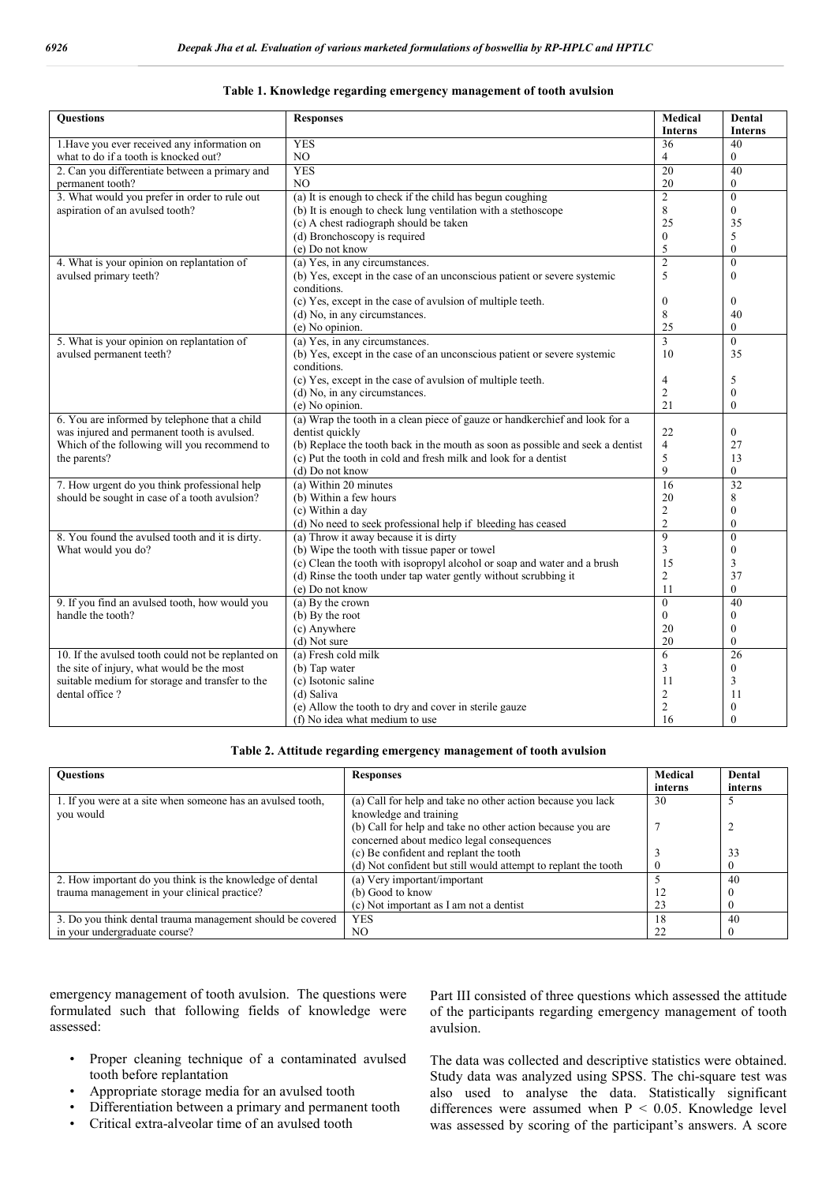| Table 1. Knowledge regarding emergency management of tooth avulsion |  |
|---------------------------------------------------------------------|--|
|                                                                     |  |

| <b>Questions</b>                                   | <b>Responses</b>                                                               | Medical         | Dental          |
|----------------------------------------------------|--------------------------------------------------------------------------------|-----------------|-----------------|
|                                                    |                                                                                | <b>Interns</b>  | <b>Interns</b>  |
| 1. Have you ever received any information on       | <b>YES</b>                                                                     | 36              | 40              |
| what to do if a tooth is knocked out?              | NO.                                                                            | 4               | $\theta$        |
| 2. Can you differentiate between a primary and     | <b>YES</b>                                                                     | $\overline{20}$ | 40              |
| permanent tooth?                                   | NO.                                                                            | 20              | $\theta$        |
| 3. What would you prefer in order to rule out      | (a) It is enough to check if the child has begun coughing                      | $\overline{2}$  | $\theta$        |
| aspiration of an avulsed tooth?                    | (b) It is enough to check lung ventilation with a stethoscope                  | 8               | $\theta$        |
|                                                    | (c) A chest radiograph should be taken                                         | 25              | 35              |
|                                                    | (d) Bronchoscopy is required                                                   | $\theta$        | 5               |
|                                                    | (e) Do not know                                                                | 5               | $\mathbf{0}$    |
| 4. What is your opinion on replantation of         | (a) Yes, in any circumstances.                                                 | $\overline{2}$  | $\theta$        |
| avulsed primary teeth?                             | (b) Yes, except in the case of an unconscious patient or severe systemic       | 5               | $\theta$        |
|                                                    | conditions.                                                                    |                 |                 |
|                                                    | (c) Yes, except in the case of avulsion of multiple teeth.                     | $\mathbf{0}$    | $\overline{0}$  |
|                                                    | (d) No, in any circumstances.                                                  | 8               | 40              |
|                                                    | (e) No opinion.                                                                | 25              | $\theta$        |
| 5. What is your opinion on replantation of         | (a) Yes, in any circumstances.                                                 | $\overline{3}$  | $\theta$        |
| avulsed permanent teeth?                           | (b) Yes, except in the case of an unconscious patient or severe systemic       | 10              | 35              |
|                                                    | conditions.                                                                    |                 |                 |
|                                                    | (c) Yes, except in the case of avulsion of multiple teeth.                     | 4               | 5               |
|                                                    | (d) No, in any circumstances.                                                  | 2               | $\mathbf{0}$    |
|                                                    | (e) No opinion.                                                                | 21              | $\overline{0}$  |
| 6. You are informed by telephone that a child      | (a) Wrap the tooth in a clean piece of gauze or handkerchief and look for a    |                 |                 |
| was injured and permanent tooth is avulsed.        | dentist quickly                                                                | 22              | $\overline{0}$  |
| Which of the following will you recommend to       | (b) Replace the tooth back in the mouth as soon as possible and seek a dentist | $\overline{4}$  | 27              |
| the parents?                                       | (c) Put the tooth in cold and fresh milk and look for a dentist                | 5               | 13              |
|                                                    | (d) Do not know                                                                | 9               | $\overline{0}$  |
| 7. How urgent do you think professional help       | (a) Within 20 minutes                                                          | 16              | $\overline{32}$ |
| should be sought in case of a tooth avulsion?      | (b) Within a few hours                                                         | 20              | 8               |
|                                                    | (c) Within a day                                                               | 2               | $\mathbf{0}$    |
|                                                    | (d) No need to seek professional help if bleeding has ceased                   | $\overline{2}$  | $\theta$        |
| 8. You found the avulsed tooth and it is dirty.    | (a) Throw it away because it is dirty                                          | 9               | $\mathbf{0}$    |
| What would you do?                                 | (b) Wipe the tooth with tissue paper or towel                                  | 3               | $\overline{0}$  |
|                                                    | (c) Clean the tooth with isopropyl alcohol or soap and water and a brush       | 15              | 3               |
|                                                    | (d) Rinse the tooth under tap water gently without scrubbing it                | 2               | 37              |
|                                                    | (e) Do not know                                                                | 11              | $\theta$        |
| 9. If you find an avulsed tooth, how would you     | (a) By the crown                                                               | $\overline{0}$  | 40              |
| handle the tooth?                                  | (b) By the root                                                                | $\overline{0}$  | $\mathbf{0}$    |
|                                                    | (c) Anywhere                                                                   | 20              | $\mathbf{0}$    |
|                                                    | (d) Not sure                                                                   | 20              | $\overline{0}$  |
| 10. If the avulsed tooth could not be replanted on | (a) Fresh cold milk                                                            | 6               | $\overline{26}$ |
| the site of injury, what would be the most         | (b) Tap water                                                                  | 3               | $\overline{0}$  |
| suitable medium for storage and transfer to the    | (c) Isotonic saline                                                            | 11              | 3               |
| dental office?                                     | (d) Saliva                                                                     | 2               | 11              |
|                                                    | (e) Allow the tooth to dry and cover in sterile gauze                          | 2               | $\mathbf{0}$    |
|                                                    | (f) No idea what medium to use                                                 | 16              | $\Omega$        |

#### **Table 2. Attitude regarding emergency management of tooth avulsion**

| <b>Ouestions</b>                                            | <b>Responses</b>                                               | <b>Medical</b> | Dental  |
|-------------------------------------------------------------|----------------------------------------------------------------|----------------|---------|
|                                                             |                                                                | interns        | interns |
| 1. If you were at a site when someone has an avulsed tooth, | (a) Call for help and take no other action because you lack    | 30             |         |
| you would                                                   | knowledge and training                                         |                |         |
|                                                             | (b) Call for help and take no other action because you are     |                |         |
|                                                             | concerned about medico legal consequences                      |                |         |
|                                                             | (c) Be confident and replant the tooth                         |                | 33      |
|                                                             | (d) Not confident but still would attempt to replant the tooth |                |         |
| 2. How important do you think is the knowledge of dental    | (a) Very important/important                                   |                | 40      |
| trauma management in your clinical practice?                | (b) Good to know                                               |                |         |
|                                                             | (c) Not important as I am not a dentist                        | 23             |         |
| 3. Do you think dental trauma management should be covered  | <b>YES</b>                                                     | 18             | 40      |
| in your undergraduate course?                               | NO.                                                            | 22             |         |

emergency management of tooth avulsion. The questions were formulated such that following fields of knowledge were assessed:

- Proper cleaning technique of a contaminated avulsed tooth before replantation
- Appropriate storage media for an avulsed tooth
- Differentiation between a primary and permanent tooth
- Critical extra-alveolar time of an avulsed tooth

Part III consisted of three questions which assessed the attitude of the participants regarding emergency management of tooth avulsion.

The data was collected and descriptive statistics were obtained. Study data was analyzed using SPSS. The chi-square test was also used to analyse the data. Statistically significant differences were assumed when P < 0.05. Knowledge level was assessed by scoring of the participant's answers. A score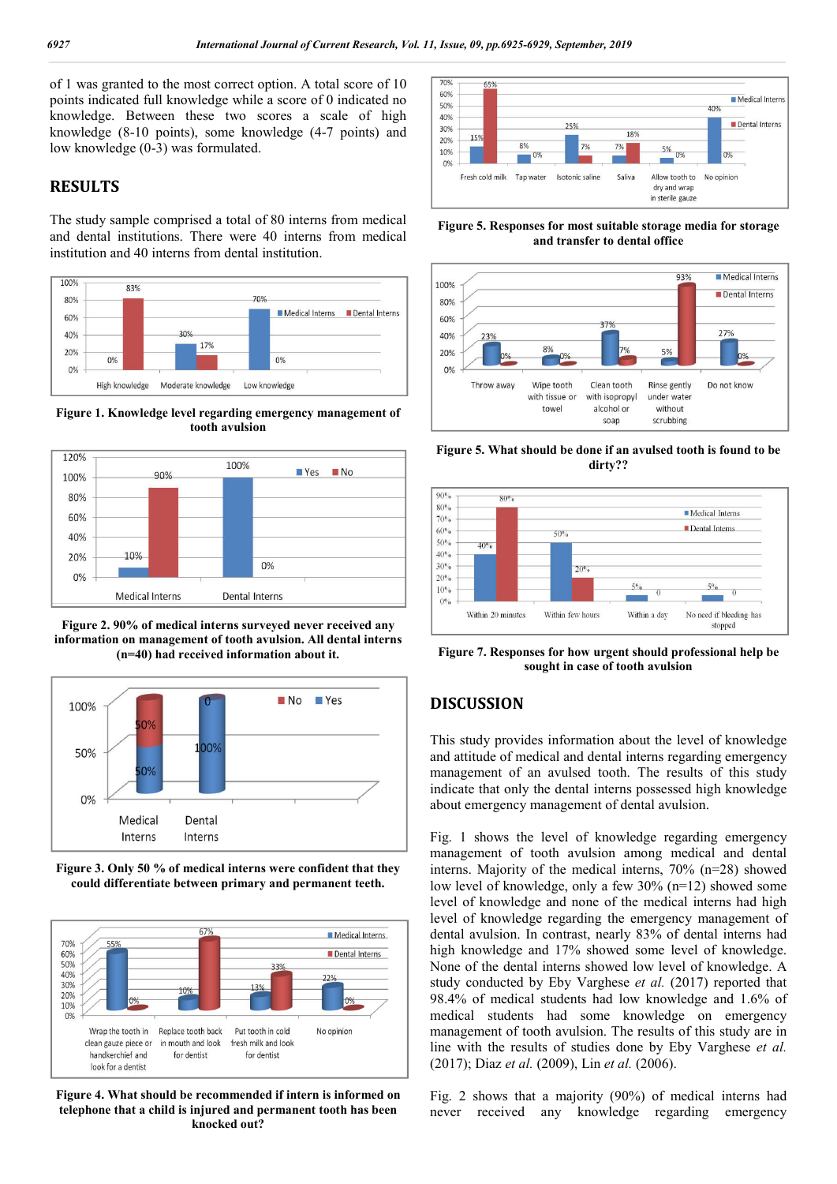of 1 was granted to the most correct option. A total score of 10 points indicated full knowledge while a score of 0 indicated no knowledge. Between these two scores a scale of high knowledge (8-10 points), some knowledge (4-7 points) and low knowledge (0-3) was formulated.

## **RESULTS**

The study sample comprised a total of 80 interns from medical and dental institutions. There were 40 interns from medical institution and 40 interns from dental institution.



**Figure 1. Knowledge level regarding emergency management of tooth avulsion**



**Figure 2. 90% of medical interns surveyed never received any information on management of tooth avulsion. All dental interns (n=40) had received information about it.**



**Figure 3. Only 50 % of medical interns were confident that they could differentiate between primary and permanent teeth.**



**Figure 4. What should be recommended if intern is informed on telephone that a child is injured and permanent tooth has been knocked out?**



#### **Figure 5. Responses for most suitable storage media for storage and transfer to dental office**



**Figure 5. What should be done if an avulsed tooth is found to be dirty??**



**Figure 7. Responses for how urgent should professional help be sought in case of tooth avulsion**

### **DISCUSSION**

This study provides information about the level of knowledge and attitude of medical and dental interns regarding emergency management of an avulsed tooth. The results of this study indicate that only the dental interns possessed high knowledge about emergency management of dental avulsion.

Fig. 1 shows the level of knowledge regarding emergency management of tooth avulsion among medical and dental interns. Majority of the medical interns, 70% (n=28) showed low level of knowledge, only a few 30% (n=12) showed some level of knowledge and none of the medical interns had high level of knowledge regarding the emergency management of dental avulsion. In contrast, nearly 83% of dental interns had high knowledge and 17% showed some level of knowledge. None of the dental interns showed low level of knowledge. A study conducted by Eby Varghese *et al.* (2017) reported that 98.4% of medical students had low knowledge and 1.6% of medical students had some knowledge on emergency management of tooth avulsion. The results of this study are in line with the results of studies done by Eby Varghese *et al.*  (2017); Diaz *et al.* (2009), Lin *et al.* (2006).

Fig. 2 shows that a majority (90%) of medical interns had never received any knowledge regarding emergency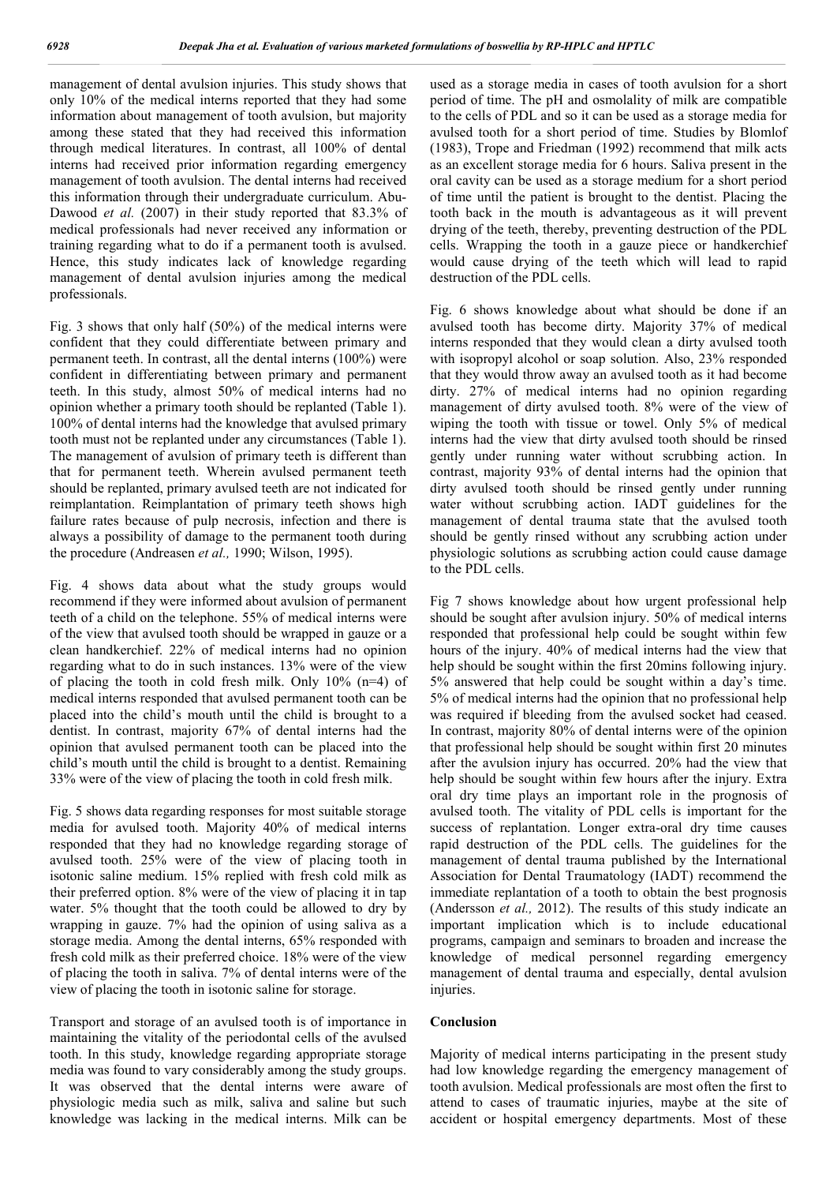management of dental avulsion injuries. This study shows that only 10% of the medical interns reported that they had some information about management of tooth avulsion, but majority among these stated that they had received this information through medical literatures. In contrast, all 100% of dental interns had received prior information regarding emergency management of tooth avulsion. The dental interns had received this information through their undergraduate curriculum. Abu-Dawood *et al.* (2007) in their study reported that 83.3% of medical professionals had never received any information or training regarding what to do if a permanent tooth is avulsed. Hence, this study indicates lack of knowledge regarding management of dental avulsion injuries among the medical professionals.

Fig. 3 shows that only half (50%) of the medical interns were confident that they could differentiate between primary and permanent teeth. In contrast, all the dental interns (100%) were confident in differentiating between primary and permanent teeth. In this study, almost 50% of medical interns had no opinion whether a primary tooth should be replanted (Table 1). 100% of dental interns had the knowledge that avulsed primary tooth must not be replanted under any circumstances (Table 1). The management of avulsion of primary teeth is different than that for permanent teeth. Wherein avulsed permanent teeth should be replanted, primary avulsed teeth are not indicated for reimplantation. Reimplantation of primary teeth shows high failure rates because of pulp necrosis, infection and there is always a possibility of damage to the permanent tooth during the procedure (Andreasen *et al.,* 1990; Wilson, 1995).

Fig. 4 shows data about what the study groups would recommend if they were informed about avulsion of permanent teeth of a child on the telephone. 55% of medical interns were of the view that avulsed tooth should be wrapped in gauze or a clean handkerchief. 22% of medical interns had no opinion regarding what to do in such instances. 13% were of the view of placing the tooth in cold fresh milk. Only  $10\%$  (n=4) of medical interns responded that avulsed permanent tooth can be placed into the child's mouth until the child is brought to a dentist. In contrast, majority 67% of dental interns had the opinion that avulsed permanent tooth can be placed into the child's mouth until the child is brought to a dentist. Remaining 33% were of the view of placing the tooth in cold fresh milk.

Fig. 5 shows data regarding responses for most suitable storage media for avulsed tooth. Majority 40% of medical interns responded that they had no knowledge regarding storage of avulsed tooth. 25% were of the view of placing tooth in isotonic saline medium. 15% replied with fresh cold milk as their preferred option. 8% were of the view of placing it in tap water. 5% thought that the tooth could be allowed to dry by wrapping in gauze. 7% had the opinion of using saliva as a storage media. Among the dental interns, 65% responded with fresh cold milk as their preferred choice. 18% were of the view of placing the tooth in saliva. 7% of dental interns were of the view of placing the tooth in isotonic saline for storage.

Transport and storage of an avulsed tooth is of importance in maintaining the vitality of the periodontal cells of the avulsed tooth. In this study, knowledge regarding appropriate storage media was found to vary considerably among the study groups. It was observed that the dental interns were aware of physiologic media such as milk, saliva and saline but such knowledge was lacking in the medical interns. Milk can be

used as a storage media in cases of tooth avulsion for a short period of time. The pH and osmolality of milk are compatible to the cells of PDL and so it can be used as a storage media for avulsed tooth for a short period of time. Studies by Blomlof (1983), Trope and Friedman (1992) recommend that milk acts as an excellent storage media for 6 hours. Saliva present in the oral cavity can be used as a storage medium for a short period of time until the patient is brought to the dentist. Placing the tooth back in the mouth is advantageous as it will prevent drying of the teeth, thereby, preventing destruction of the PDL cells. Wrapping the tooth in a gauze piece or handkerchief would cause drying of the teeth which will lead to rapid destruction of the PDL cells.

Fig. 6 shows knowledge about what should be done if an avulsed tooth has become dirty. Majority 37% of medical interns responded that they would clean a dirty avulsed tooth with isopropyl alcohol or soap solution. Also, 23% responded that they would throw away an avulsed tooth as it had become dirty. 27% of medical interns had no opinion regarding management of dirty avulsed tooth. 8% were of the view of wiping the tooth with tissue or towel. Only 5% of medical interns had the view that dirty avulsed tooth should be rinsed gently under running water without scrubbing action. In contrast, majority 93% of dental interns had the opinion that dirty avulsed tooth should be rinsed gently under running water without scrubbing action. IADT guidelines for the management of dental trauma state that the avulsed tooth should be gently rinsed without any scrubbing action under physiologic solutions as scrubbing action could cause damage to the PDL cells.

Fig 7 shows knowledge about how urgent professional help should be sought after avulsion injury. 50% of medical interns responded that professional help could be sought within few hours of the injury. 40% of medical interns had the view that help should be sought within the first 20mins following injury. 5% answered that help could be sought within a day's time. 5% of medical interns had the opinion that no professional help was required if bleeding from the avulsed socket had ceased. In contrast, majority 80% of dental interns were of the opinion that professional help should be sought within first 20 minutes after the avulsion injury has occurred. 20% had the view that help should be sought within few hours after the injury. Extra oral dry time plays an important role in the prognosis of avulsed tooth. The vitality of PDL cells is important for the success of replantation. Longer extra-oral dry time causes rapid destruction of the PDL cells. The guidelines for the management of dental trauma published by the International Association for Dental Traumatology (IADT) recommend the immediate replantation of a tooth to obtain the best prognosis (Andersson *et al.,* 2012). The results of this study indicate an important implication which is to include educational programs, campaign and seminars to broaden and increase the knowledge of medical personnel regarding emergency management of dental trauma and especially, dental avulsion injuries.

#### **Conclusion**

Majority of medical interns participating in the present study had low knowledge regarding the emergency management of tooth avulsion. Medical professionals are most often the first to attend to cases of traumatic injuries, maybe at the site of accident or hospital emergency departments. Most of these